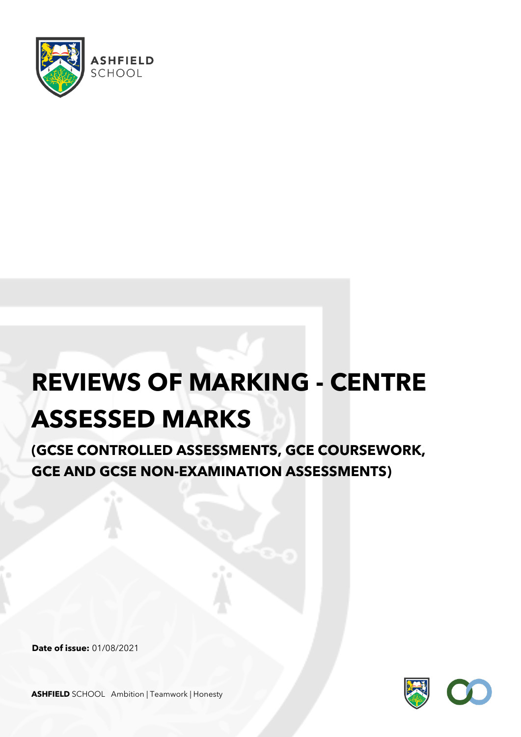

## **REVIEWS OF MARKING - CENTRE**

## **ASSESSED MARKS**

**(GCSE CONTROLLED ASSESSMENTS, GCE COURSEWORK, GCE AND GCSE NON-EXAMINATION ASSESSMENTS)**

**Date of issue:** 01/08/2021



**ASHFIELD** SCHOOL Ambition | Teamwork | Honesty